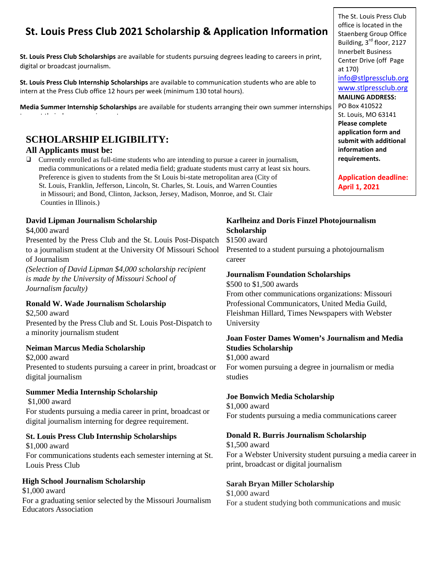# **St. Louis Press Club 2021 Scholarship & Application Information**

**St. Louis Press Club Scholarships** are available for students pursuing degrees leading to careers in print, digital or broadcast journalism.

**St. Louis Press Club Internship Scholarships** are available to communication students who are able to intern at the Press Club office 12 hours per week (minimum 130 total hours).

**Media Summer Internship Scholarships** are available for students arranging their own summer internships

# **SCHOLARSHIP ELIGIBILITY:**

### **All Applicants must be:**

t t the internal state of the internal state of the internal state of the internal state of the internal state<br>The internal state of the internal state of the internal state of the internal state of the internal state of

❑ Currently enrolled as full-time students who are intending to pursue a career in journalism, media communications or a related media field; graduate students must carry at least six hours. Preference is given to students from the St Louis bi-state metropolitan area (City of St. Louis, Franklin, Jefferson, Lincoln, St. Charles, St. Louis, and Warren Counties in Missouri; and Bond, Clinton, Jackson, Jersey, Madison, Monroe, and St. Clair Counties in Illinois.)

#### **David Lipman Journalism Scholarship**

\$4,000 award

Presented by the Press Club and the St. Louis Post-Dispatch to a journalism student at the University Of Missouri School of Journalism

*(Selection of David Lipman \$4,000 scholarship recipient is made by the University of Missouri School of Journalism faculty)*

#### **Ronald W. Wade Journalism Scholarship**

\$2,500 award Presented by the Press Club and St. Louis Post-Dispatch to a minority journalism student

#### **Neiman Marcus Media Scholarship**

\$2,000 award Presented to students pursuing a career in print, broadcast or digital journalism

#### **Summer Media Internship Scholarship**

\$1,000 award For students pursuing a media career in print, broadcast or digital journalism interning for degree requirement.

### **St. Louis Press Club Internship Scholarships**

\$1,000 award For communications students each semester interning at St. Louis Press Club

#### **High School Journalism Scholarship**

\$1,000 award For a graduating senior selected by the Missouri Journalism Educators Association

### **Karlheinz and Doris Finzel Photojournalism Scholarship**

\$1500 award

Presented to a student pursuing a photojournalism career

#### **Journalism Foundation Scholarships**

\$500 to \$1,500 awards From other communications organizations: Missouri Professional Communicators, United Media Guild, Fleishman Hillard, Times Newspapers with Webster University

#### **Joan Foster Dames Women's Journalism and Media Studies Scholarship**

\$1,000 award For women pursuing a degree in journalism or media studies

#### **Joe Bonwich Media Scholarship**

\$1,000 award For students pursuing a media communications career

### **Donald R. Burris Journalism Scholarship**

\$1,500 award For a Webster University student pursuing a media career in print, broadcast or digital journalism

#### **Sarah Bryan Miller Scholarship**

\$1,000 award For a student studying both communications and music

The St. Louis Press Club office is located in the Staenberg Group Office Building, 3<sup>rd</sup> floor, 2127 Innerbelt Business Center Drive (off Page at 170) [info@stlpressclub.org](mailto:info@stlpressclub.org) [www.stlpressclub.org](http://www.stlpressclub.org/) **MAILING ADDRESS:** PO Box 410522 St. Louis, MO 63141 **Please complete application form and submit with additional information and requirements.** 

**Application deadline: April 1, 2021**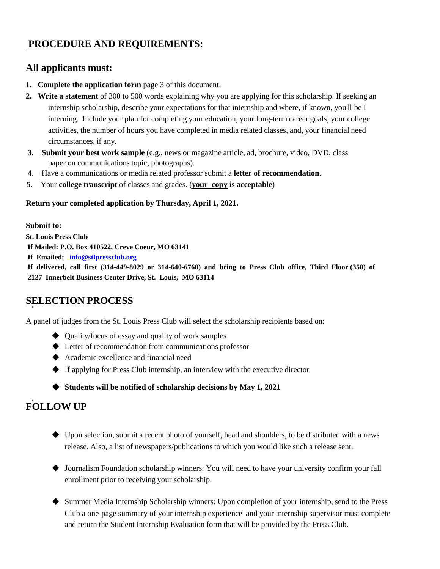## **PROCEDURE AND REQUIREMENTS:**

### **All applicants must:**

- **1. Complete the application form** page 3 of this document.
- **2. Write a statement** of 300 to 500 words explaining why you are applying for this scholarship. If seeking an internship scholarship, describe your expectations for that internship and where, if known, you'll be I interning. Include your plan for completing your education, your long-term career goals, your college activities, the number of hours you have completed in media related classes, and, your financial need circumstances, if any.
- **3. Submit your best work sample** (e.g., news or magazine article, ad, brochure, video, DVD, class paper on communications topic, photographs).
- **4**. Have a communications or media related professor submit a **letter of recommendation**.
- **5**. Your **college transcript** of classes and grades. (**your copy is acceptable**)

#### **Return your completed application by Thursday, April 1, 2021.**

**Submit to: St. Louis Press Club If Mailed: P.O. Box 410522, Creve Coeur, MO 63141 If Emailed: [info@stlpressclub.org](mailto:info@stlpressclub.org) If delivered, call first (314-449-8029 or 314-640-6760) and bring to Press Club office, Third Floor (350) of 2127 Innerbelt Business Center Drive, St. Louis, MO 63114**

### **SELECTION PROCESS**

A panel of judges from the St. Louis Press Club will select the scholarship recipients based on:

- ◆ Quality/focus of essay and quality of work samples
- ◆ Letter of recommendation from communications professor
- ◆ Academic excellence and financial need
- ◆ If applying for Press Club internship, an interview with the executive director
- ◆ **Students will be notified of scholarship decisions by May 1, 2021**

# **FOLLOW UP**

- ◆ Upon selection, submit a recent photo of yourself, head and shoulders, to be distributed with a news release. Also, a list of newspapers/publications to which you would like such a release sent.
- ◆ Journalism Foundation scholarship winners: You will need to have your university confirm your fall enrollment prior to receiving your scholarship.
- ◆ Summer Media Internship Scholarship winners: Upon completion of your internship, send to the Press Club a one-page summary of your internship experience and your internship supervisor must complete and return the Student Internship Evaluation form that will be provided by the Press Club.